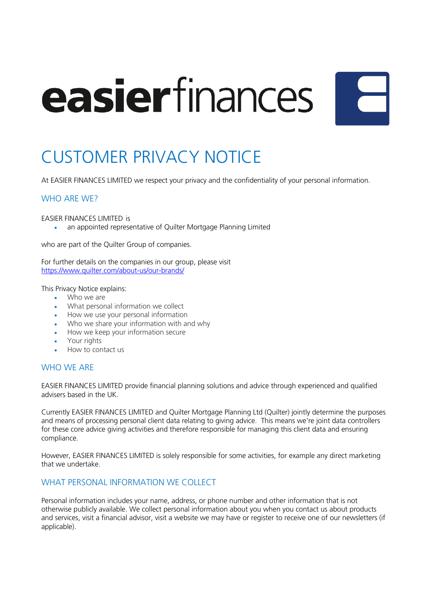# easierfinances



# CUSTOMER PRIVACY NOTICE

At EASIER FINANCES LIMITED we respect your privacy and the confidentiality of your personal information.

# WHO ARE WE?

EASIER FINANCES LIMITED is

• an appointed representative of Quilter Mortgage Planning Limited

who are part of the Quilter Group of companies.

For further details on the companies in our group, please visit https://www.quilter.com/about-us/our-brands/

This Privacy Notice explains:

- Who we are
- What personal information we collect
- How we use your personal information
- Who we share your information with and why
- How we keep your information secure
- Your rights
- How to contact us

#### WHO WE ARE

EASIER FINANCES LIMITED provide financial planning solutions and advice through experienced and qualified advisers based in the UK.

Currently EASIER FINANCES LIMITED and Quilter Mortgage Planning Ltd (Quilter) jointly determine the purposes and means of processing personal client data relating to giving advice. This means we're joint data controllers for these core advice giving activities and therefore responsible for managing this client data and ensuring compliance.

However, EASIER FINANCES LIMITED is solely responsible for some activities, for example any direct marketing that we undertake.

#### WHAT PERSONAL INFORMATION WE COLLECT

Personal information includes your name, address, or phone number and other information that is not otherwise publicly available. We collect personal information about you when you contact us about products and services, visit a financial advisor, visit a website we may have or register to receive one of our newsletters (if applicable).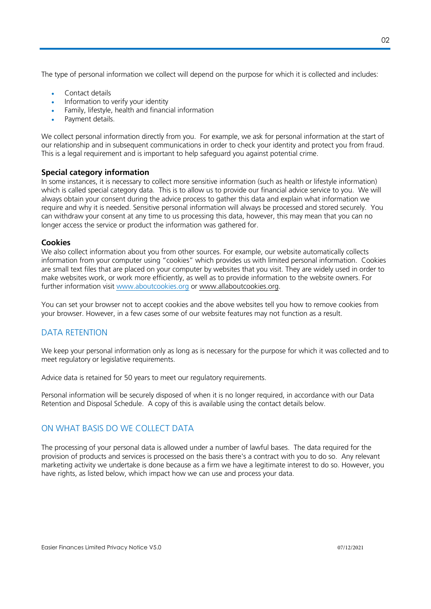The type of personal information we collect will depend on the purpose for which it is collected and includes:

- Contact details
- Information to verify your identity
- Family, lifestyle, health and financial information
- Payment details.

We collect personal information directly from you. For example, we ask for personal information at the start of our relationship and in subsequent communications in order to check your identity and protect you from fraud. This is a legal requirement and is important to help safeguard you against potential crime.

### **Special category information**

In some instances, it is necessary to collect more sensitive information (such as health or lifestyle information) which is called special category data. This is to allow us to provide our financial advice service to you. We will always obtain your consent during the advice process to gather this data and explain what information we require and why it is needed. Sensitive personal information will always be processed and stored securely. You can withdraw your consent at any time to us processing this data, however, this may mean that you can no longer access the service or product the information was gathered for.

#### **Cookies**

We also collect information about you from other sources. For example, our website automatically collects information from your computer using "cookies" which provides us with limited personal information. Cookies are small text files that are placed on your computer by websites that you visit. They are widely used in order to make websites work, or work more efficiently, as well as to provide information to the website owners. For further information visit www.aboutcookies.org or www.allaboutcookies.org.

You can set your browser not to accept cookies and the above websites tell you how to remove cookies from your browser. However, in a few cases some of our website features may not function as a result.

# DATA RETENTION

We keep your personal information only as long as is necessary for the purpose for which it was collected and to meet regulatory or legislative requirements.

Advice data is retained for 50 years to meet our regulatory requirements.

Personal information will be securely disposed of when it is no longer required, in accordance with our Data Retention and Disposal Schedule. A copy of this is available using the contact details below.

# ON WHAT BASIS DO WE COLLECT DATA

The processing of your personal data is allowed under a number of lawful bases. The data required for the provision of products and services is processed on the basis there's a contract with you to do so. Any relevant marketing activity we undertake is done because as a firm we have a legitimate interest to do so. However, you have rights, as listed below, which impact how we can use and process your data.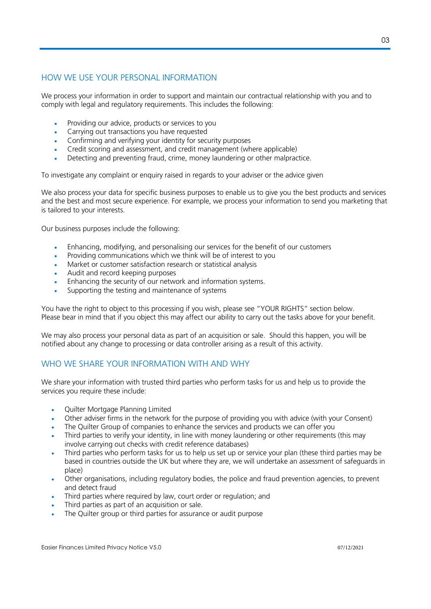# HOW WE USE YOUR PERSONAL INFORMATION

We process your information in order to support and maintain our contractual relationship with you and to comply with legal and regulatory requirements. This includes the following:

- Providing our advice, products or services to you
- Carrying out transactions you have requested
- Confirming and verifying your identity for security purposes
- Credit scoring and assessment, and credit management (where applicable)
- Detecting and preventing fraud, crime, money laundering or other malpractice.

To investigate any complaint or enquiry raised in regards to your adviser or the advice given

We also process your data for specific business purposes to enable us to give you the best products and services and the best and most secure experience. For example, we process your information to send you marketing that is tailored to your interests.

Our business purposes include the following:

- Enhancing, modifying, and personalising our services for the benefit of our customers
- Providing communications which we think will be of interest to you
- Market or customer satisfaction research or statistical analysis
- Audit and record keeping purposes
- Enhancing the security of our network and information systems.
- Supporting the testing and maintenance of systems

You have the right to object to this processing if you wish, please see "YOUR RIGHTS" section below. Please bear in mind that if you object this may affect our ability to carry out the tasks above for your benefit.

We may also process your personal data as part of an acquisition or sale. Should this happen, you will be notified about any change to processing or data controller arising as a result of this activity.

# WHO WE SHARE YOUR INFORMATION WITH AND WHY

We share your information with trusted third parties who perform tasks for us and help us to provide the services you require these include:

- Quilter Mortgage Planning Limited
- Other adviser firms in the network for the purpose of providing you with advice (with your Consent)
- The Quilter Group of companies to enhance the services and products we can offer you
- Third parties to verify your identity, in line with money laundering or other requirements (this may involve carrying out checks with credit reference databases)
- Third parties who perform tasks for us to help us set up or service your plan (these third parties may be based in countries outside the UK but where they are, we will undertake an assessment of safeguards in place)
- Other organisations, including regulatory bodies, the police and fraud prevention agencies, to prevent and detect fraud
- Third parties where required by law, court order or regulation; and
- Third parties as part of an acquisition or sale.
- The Quilter group or third parties for assurance or audit purpose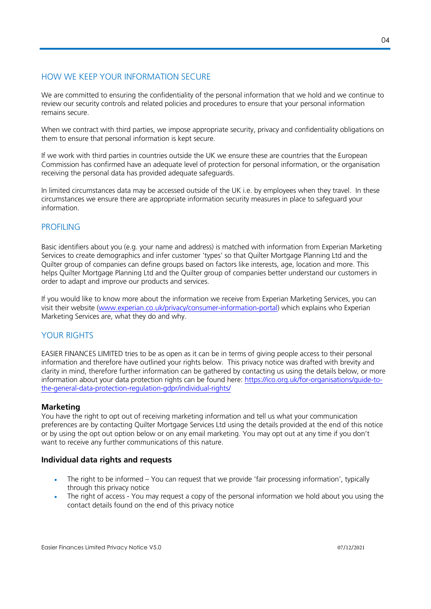# HOW WE KEEP YOUR INFORMATION SECURE

We are committed to ensuring the confidentiality of the personal information that we hold and we continue to review our security controls and related policies and procedures to ensure that your personal information remains secure.

When we contract with third parties, we impose appropriate security, privacy and confidentiality obligations on them to ensure that personal information is kept secure.

If we work with third parties in countries outside the UK we ensure these are countries that the European Commission has confirmed have an adequate level of protection for personal information, or the organisation receiving the personal data has provided adequate safeguards.

In limited circumstances data may be accessed outside of the UK i.e. by employees when they travel. In these circumstances we ensure there are appropriate information security measures in place to safeguard your information.

### PROFILING

Basic identifiers about you (e.g. your name and address) is matched with information from Experian Marketing Services to create demographics and infer customer 'types' so that Quilter Mortgage Planning Ltd and the Quilter group of companies can define groups based on factors like interests, age, location and more. This helps Quilter Mortgage Planning Ltd and the Quilter group of companies better understand our customers in order to adapt and improve our products and services.

If you would like to know more about the information we receive from Experian Marketing Services, you can visit their website (www.experian.co.uk/privacy/consumer-information-portal) which explains who Experian Marketing Services are, what they do and why.

# YOUR RIGHTS

EASIER FINANCES LIMITED tries to be as open as it can be in terms of giving people access to their personal information and therefore have outlined your rights below. This privacy notice was drafted with brevity and clarity in mind, therefore further information can be gathered by contacting us using the details below, or more information about your data protection rights can be found here: https://ico.org.uk/for-organisations/guide-tothe-general-data-protection-regulation-gdpr/individual-rights/

#### **Marketing**

You have the right to opt out of receiving marketing information and tell us what your communication preferences are by contacting Quilter Mortgage Services Ltd using the details provided at the end of this notice or by using the opt out option below or on any email marketing. You may opt out at any time if you don't want to receive any further communications of this nature.

#### **Individual data rights and requests**

- The right to be informed You can request that we provide 'fair processing information', typically through this privacy notice
- The right of access You may request a copy of the personal information we hold about you using the contact details found on the end of this privacy notice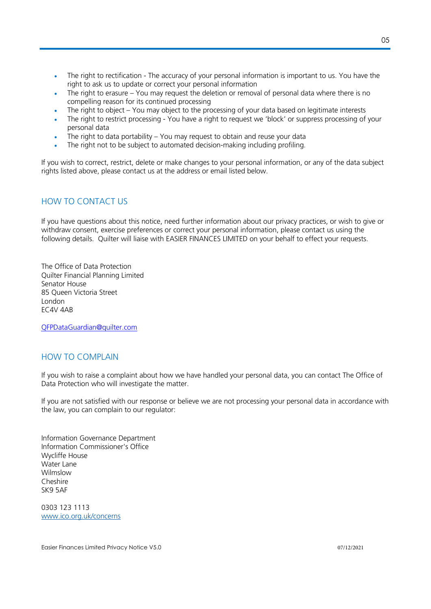- The right to rectification The accuracy of your personal information is important to us. You have the right to ask us to update or correct your personal information
- The right to erasure You may request the deletion or removal of personal data where there is no compelling reason for its continued processing
- The right to object You may object to the processing of your data based on legitimate interests
- The right to restrict processing You have a right to request we 'block' or suppress processing of your personal data
- The right to data portability  $-$  You may request to obtain and reuse your data
- The right not to be subject to automated decision-making including profiling.

If you wish to correct, restrict, delete or make changes to your personal information, or any of the data subject rights listed above, please contact us at the address or email listed below.

# HOW TO CONTACT US

If you have questions about this notice, need further information about our privacy practices, or wish to give or withdraw consent, exercise preferences or correct your personal information, please contact us using the following details. Quilter will liaise with EASIER FINANCES LIMITED on your behalf to effect your requests.

The Office of Data Protection Quilter Financial Planning Limited Senator House 85 Queen Victoria Street London EC4V 4AB

QFPDataGuardian@quilter.com

#### HOW TO COMPLAIN

If you wish to raise a complaint about how we have handled your personal data, you can contact The Office of Data Protection who will investigate the matter.

If you are not satisfied with our response or believe we are not processing your personal data in accordance with the law, you can complain to our regulator:

Information Governance Department Information Commissioner's Office Wycliffe House Water Lane Wilmslow Cheshire SK9 5AF

0303 123 1113 www.ico.org.uk/concerns